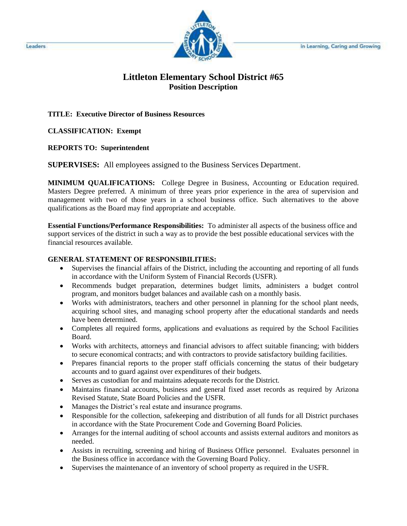

## **Littleton Elementary School District #65 Position Description**

## **TITLE: Executive Director of Business Resources**

**CLASSIFICATION: Exempt** 

**REPORTS TO: Superintendent** 

**SUPERVISES:** All employees assigned to the Business Services Department.

**MINIMUM QUALIFICATIONS:** College Degree in Business, Accounting or Education required. Masters Degree preferred. A minimum of three years prior experience in the area of supervision and management with two of those years in a school business office. Such alternatives to the above qualifications as the Board may find appropriate and acceptable.

**Essential Functions/Performance Responsibilities:** To administer all aspects of the business office and support services of the district in such a way as to provide the best possible educational services with the financial resources available.

## **GENERAL STATEMENT OF RESPONSIBILITIES:**

- Supervises the financial affairs of the District, including the accounting and reporting of all funds in accordance with the Uniform System of Financial Records (USFR).
- Recommends budget preparation, determines budget limits, administers a budget control program, and monitors budget balances and available cash on a monthly basis.
- Works with administrators, teachers and other personnel in planning for the school plant needs, acquiring school sites, and managing school property after the educational standards and needs have been determined.
- Completes all required forms, applications and evaluations as required by the School Facilities Board.
- Works with architects, attorneys and financial advisors to affect suitable financing; with bidders to secure economical contracts; and with contractors to provide satisfactory building facilities.
- Prepares financial reports to the proper staff officials concerning the status of their budgetary accounts and to guard against over expenditures of their budgets.
- Serves as custodian for and maintains adequate records for the District.
- Maintains financial accounts, business and general fixed asset records as required by Arizona Revised Statute, State Board Policies and the USFR.
- Manages the District's real estate and insurance programs.
- Responsible for the collection, safekeeping and distribution of all funds for all District purchases in accordance with the State Procurement Code and Governing Board Policies.
- Arranges for the internal auditing of school accounts and assists external auditors and monitors as needed.
- Assists in recruiting, screening and hiring of Business Office personnel. Evaluates personnel in the Business office in accordance with the Governing Board Policy.
- Supervises the maintenance of an inventory of school property as required in the USFR.

Leaders